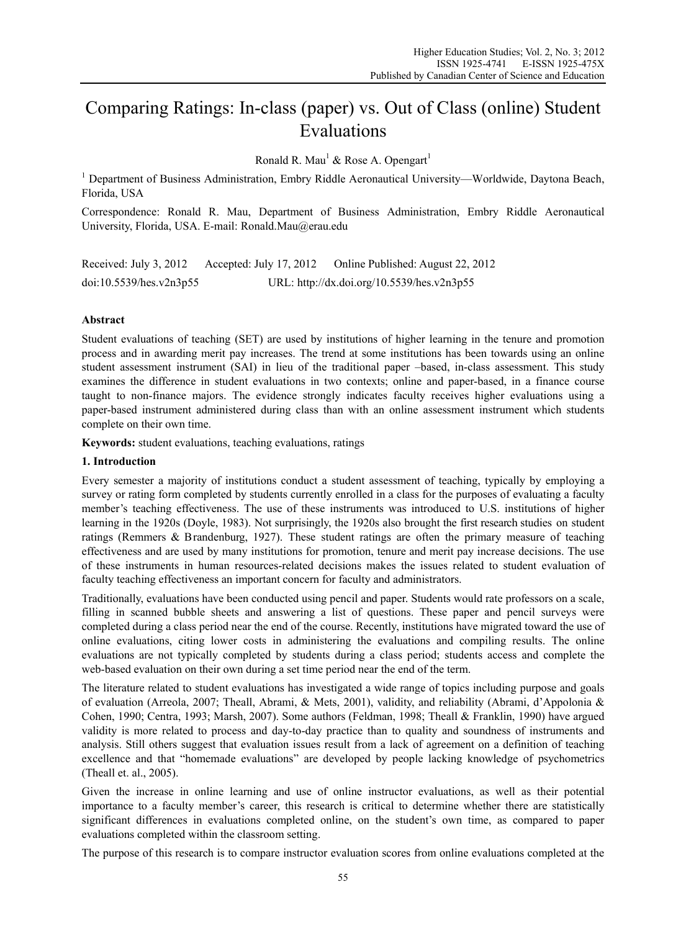# Comparing Ratings: In-class (paper) vs. Out of Class (online) Student Evaluations

Ronald R. Mau<sup>1</sup> & Rose A. Opengart<sup>1</sup>

<sup>1</sup> Department of Business Administration, Embry Riddle Aeronautical University—Worldwide, Daytona Beach, Florida, USA

Correspondence: Ronald R. Mau, Department of Business Administration, Embry Riddle Aeronautical University, Florida, USA. E-mail: Ronald.Mau@erau.edu

Received: July 3, 2012 Accepted: July 17, 2012 Online Published: August 22, 2012 doi:10.5539/hes.v2n3p55 URL: http://dx.doi.org/10.5539/hes.v2n3p55

## **Abstract**

Student evaluations of teaching (SET) are used by institutions of higher learning in the tenure and promotion process and in awarding merit pay increases. The trend at some institutions has been towards using an online student assessment instrument (SAI) in lieu of the traditional paper –based, in-class assessment. This study examines the difference in student evaluations in two contexts; online and paper-based, in a finance course taught to non-finance majors. The evidence strongly indicates faculty receives higher evaluations using a paper-based instrument administered during class than with an online assessment instrument which students complete on their own time.

**Keywords:** student evaluations, teaching evaluations, ratings

## **1. Introduction**

Every semester a majority of institutions conduct a student assessment of teaching, typically by employing a survey or rating form completed by students currently enrolled in a class for the purposes of evaluating a faculty member's teaching effectiveness. The use of these instruments was introduced to U.S. institutions of higher learning in the 1920s (Doyle, 1983). Not surprisingly, the 1920s also brought the first research studies on student ratings (Remmers & Brandenburg, 1927). These student ratings are often the primary measure of teaching effectiveness and are used by many institutions for promotion, tenure and merit pay increase decisions. The use of these instruments in human resources-related decisions makes the issues related to student evaluation of faculty teaching effectiveness an important concern for faculty and administrators.

Traditionally, evaluations have been conducted using pencil and paper. Students would rate professors on a scale, filling in scanned bubble sheets and answering a list of questions. These paper and pencil surveys were completed during a class period near the end of the course. Recently, institutions have migrated toward the use of online evaluations, citing lower costs in administering the evaluations and compiling results. The online evaluations are not typically completed by students during a class period; students access and complete the web-based evaluation on their own during a set time period near the end of the term.

The literature related to student evaluations has investigated a wide range of topics including purpose and goals of evaluation (Arreola, 2007; Theall, Abrami, & Mets, 2001), validity, and reliability (Abrami, d'Appolonia & Cohen, 1990; Centra, 1993; Marsh, 2007). Some authors (Feldman, 1998; Theall & Franklin, 1990) have argued validity is more related to process and day-to-day practice than to quality and soundness of instruments and analysis. Still others suggest that evaluation issues result from a lack of agreement on a definition of teaching excellence and that "homemade evaluations" are developed by people lacking knowledge of psychometrics (Theall et. al., 2005).

Given the increase in online learning and use of online instructor evaluations, as well as their potential importance to a faculty member's career, this research is critical to determine whether there are statistically significant differences in evaluations completed online, on the student's own time, as compared to paper evaluations completed within the classroom setting.

The purpose of this research is to compare instructor evaluation scores from online evaluations completed at the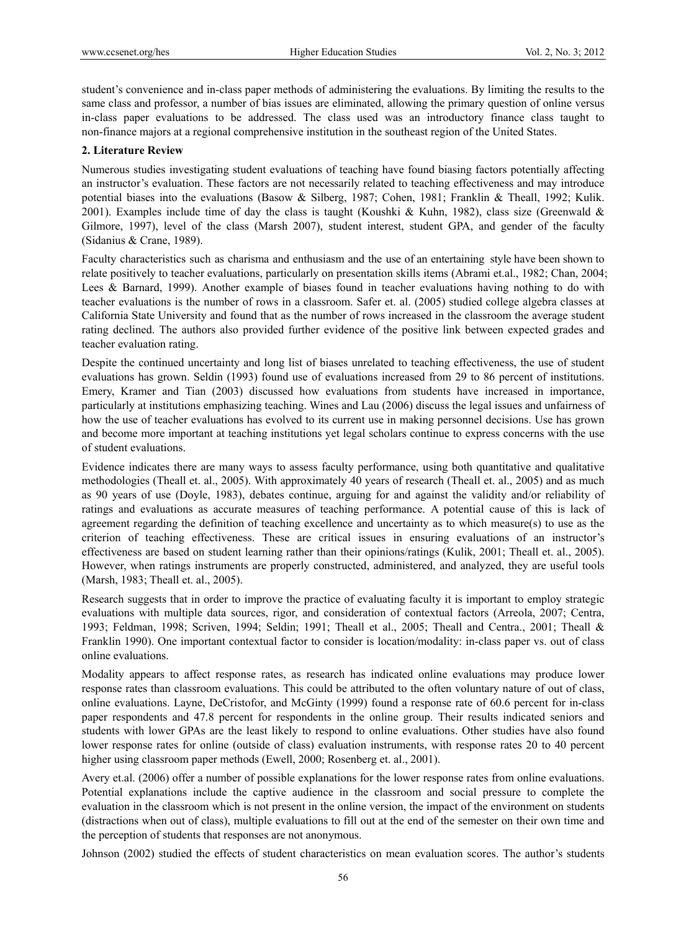student's convenience and in-class paper methods of administering the evaluations. By limiting the results to the same class and professor, a number of bias issues are eliminated, allowing the primary question of online versus in-class paper evaluations to be addressed. The class used was an introductory finance class taught to non-finance majors at a regional comprehensive institution in the southeast region of the United States.

## **2. Literature Review**

Numerous studies investigating student evaluations of teaching have found biasing factors potentially affecting an instructor's evaluation. These factors are not necessarily related to teaching effectiveness and may introduce potential biases into the evaluations (Basow & Silberg, 1987; Cohen, 1981; Franklin & Theall, 1992; Kulik. 2001). Examples include time of day the class is taught (Koushki & Kuhn, 1982), class size (Greenwald & Gilmore, 1997), level of the class (Marsh 2007), student interest, student GPA, and gender of the faculty (Sidanius & Crane, 1989).

Faculty characteristics such as charisma and enthusiasm and the use of an entertaining style have been shown to relate positively to teacher evaluations, particularly on presentation skills items (Abrami et.al., 1982; Chan, 2004; Lees & Barnard, 1999). Another example of biases found in teacher evaluations having nothing to do with teacher evaluations is the number of rows in a classroom. Safer et. al. (2005) studied college algebra classes at California State University and found that as the number of rows increased in the classroom the average student rating declined. The authors also provided further evidence of the positive link between expected grades and teacher evaluation rating.

Despite the continued uncertainty and long list of biases unrelated to teaching effectiveness, the use of student evaluations has grown. Seldin (1993) found use of evaluations increased from 29 to 86 percent of institutions. Emery, Kramer and Tian (2003) discussed how evaluations from students have increased in importance, particularly at institutions emphasizing teaching. Wines and Lau (2006) discuss the legal issues and unfairness of how the use of teacher evaluations has evolved to its current use in making personnel decisions. Use has grown and become more important at teaching institutions yet legal scholars continue to express concerns with the use of student evaluations.

Evidence indicates there are many ways to assess faculty performance, using both quantitative and qualitative methodologies (Theall et. al., 2005). With approximately 40 years of research (Theall et. al., 2005) and as much as 90 years of use (Doyle, 1983), debates continue, arguing for and against the validity and/or reliability of ratings and evaluations as accurate measures of teaching performance. A potential cause of this is lack of agreement regarding the definition of teaching excellence and uncertainty as to which measure(s) to use as the criterion of teaching effectiveness. These are critical issues in ensuring evaluations of an instructor's effectiveness are based on student learning rather than their opinions/ratings (Kulik, 2001; Theall et. al., 2005). However, when ratings instruments are properly constructed, administered, and analyzed, they are useful tools (Marsh, 1983; Theall et. al., 2005).

Research suggests that in order to improve the practice of evaluating faculty it is important to employ strategic evaluations with multiple data sources, rigor, and consideration of contextual factors (Arreola, 2007; Centra, 1993; Feldman, 1998; Scriven, 1994; Seldin; 1991; Theall et al., 2005; Theall and Centra., 2001; Theall & Franklin 1990). One important contextual factor to consider is location/modality: in-class paper vs. out of class online evaluations.

Modality appears to affect response rates, as research has indicated online evaluations may produce lower response rates than classroom evaluations. This could be attributed to the often voluntary nature of out of class, online evaluations. Layne, DeCristofor, and McGinty (1999) found a response rate of 60.6 percent for in-class paper respondents and 47.8 percent for respondents in the online group. Their results indicated seniors and students with lower GPAs are the least likely to respond to online evaluations. Other studies have also found lower response rates for online (outside of class) evaluation instruments, with response rates 20 to 40 percent higher using classroom paper methods (Ewell, 2000; Rosenberg et. al., 2001).

Avery et.al. (2006) offer a number of possible explanations for the lower response rates from online evaluations. Potential explanations include the captive audience in the classroom and social pressure to complete the evaluation in the classroom which is not present in the online version, the impact of the environment on students (distractions when out of class), multiple evaluations to fill out at the end of the semester on their own time and the perception of students that responses are not anonymous.

Johnson (2002) studied the effects of student characteristics on mean evaluation scores. The author's students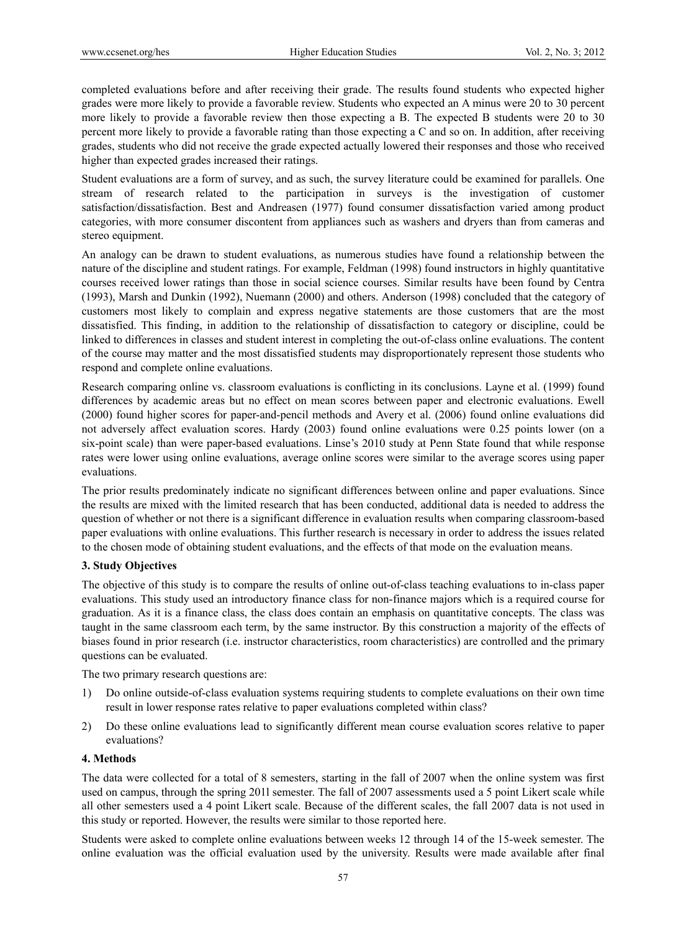completed evaluations before and after receiving their grade. The results found students who expected higher grades were more likely to provide a favorable review. Students who expected an A minus were 20 to 30 percent more likely to provide a favorable review then those expecting a B. The expected B students were 20 to 30 percent more likely to provide a favorable rating than those expecting a C and so on. In addition, after receiving grades, students who did not receive the grade expected actually lowered their responses and those who received higher than expected grades increased their ratings.

Student evaluations are a form of survey, and as such, the survey literature could be examined for parallels. One stream of research related to the participation in surveys is the investigation of customer satisfaction/dissatisfaction. Best and Andreasen (1977) found consumer dissatisfaction varied among product categories, with more consumer discontent from appliances such as washers and dryers than from cameras and stereo equipment.

An analogy can be drawn to student evaluations, as numerous studies have found a relationship between the nature of the discipline and student ratings. For example, Feldman (1998) found instructors in highly quantitative courses received lower ratings than those in social science courses. Similar results have been found by Centra (1993), Marsh and Dunkin (1992), Nuemann (2000) and others. Anderson (1998) concluded that the category of customers most likely to complain and express negative statements are those customers that are the most dissatisfied. This finding, in addition to the relationship of dissatisfaction to category or discipline, could be linked to differences in classes and student interest in completing the out-of-class online evaluations. The content of the course may matter and the most dissatisfied students may disproportionately represent those students who respond and complete online evaluations.

Research comparing online vs. classroom evaluations is conflicting in its conclusions. Layne et al. (1999) found differences by academic areas but no effect on mean scores between paper and electronic evaluations. Ewell (2000) found higher scores for paper-and-pencil methods and Avery et al. (2006) found online evaluations did not adversely affect evaluation scores. Hardy (2003) found online evaluations were 0.25 points lower (on a six-point scale) than were paper-based evaluations. Linse's 2010 study at Penn State found that while response rates were lower using online evaluations, average online scores were similar to the average scores using paper evaluations.

The prior results predominately indicate no significant differences between online and paper evaluations. Since the results are mixed with the limited research that has been conducted, additional data is needed to address the question of whether or not there is a significant difference in evaluation results when comparing classroom-based paper evaluations with online evaluations. This further research is necessary in order to address the issues related to the chosen mode of obtaining student evaluations, and the effects of that mode on the evaluation means.

# **3. Study Objectives**

The objective of this study is to compare the results of online out-of-class teaching evaluations to in-class paper evaluations. This study used an introductory finance class for non-finance majors which is a required course for graduation. As it is a finance class, the class does contain an emphasis on quantitative concepts. The class was taught in the same classroom each term, by the same instructor. By this construction a majority of the effects of biases found in prior research (i.e. instructor characteristics, room characteristics) are controlled and the primary questions can be evaluated.

The two primary research questions are:

- 1) Do online outside-of-class evaluation systems requiring students to complete evaluations on their own time result in lower response rates relative to paper evaluations completed within class?
- 2) Do these online evaluations lead to significantly different mean course evaluation scores relative to paper evaluations?

## **4. Methods**

The data were collected for a total of 8 semesters, starting in the fall of 2007 when the online system was first used on campus, through the spring 201l semester. The fall of 2007 assessments used a 5 point Likert scale while all other semesters used a 4 point Likert scale. Because of the different scales, the fall 2007 data is not used in this study or reported. However, the results were similar to those reported here.

Students were asked to complete online evaluations between weeks 12 through 14 of the 15-week semester. The online evaluation was the official evaluation used by the university. Results were made available after final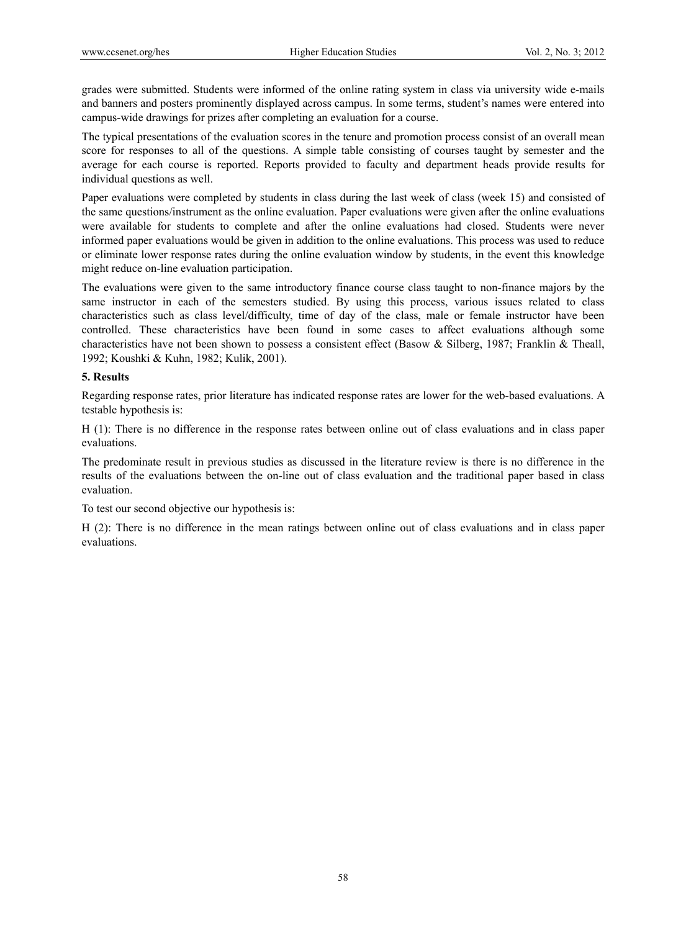grades were submitted. Students were informed of the online rating system in class via university wide e-mails and banners and posters prominently displayed across campus. In some terms, student's names were entered into campus-wide drawings for prizes after completing an evaluation for a course.

The typical presentations of the evaluation scores in the tenure and promotion process consist of an overall mean score for responses to all of the questions. A simple table consisting of courses taught by semester and the average for each course is reported. Reports provided to faculty and department heads provide results for individual questions as well.

Paper evaluations were completed by students in class during the last week of class (week 15) and consisted of the same questions/instrument as the online evaluation. Paper evaluations were given after the online evaluations were available for students to complete and after the online evaluations had closed. Students were never informed paper evaluations would be given in addition to the online evaluations. This process was used to reduce or eliminate lower response rates during the online evaluation window by students, in the event this knowledge might reduce on-line evaluation participation.

The evaluations were given to the same introductory finance course class taught to non-finance majors by the same instructor in each of the semesters studied. By using this process, various issues related to class characteristics such as class level/difficulty, time of day of the class, male or female instructor have been controlled. These characteristics have been found in some cases to affect evaluations although some characteristics have not been shown to possess a consistent effect (Basow & Silberg, 1987; Franklin & Theall, 1992; Koushki & Kuhn, 1982; Kulik, 2001).

## **5. Results**

Regarding response rates, prior literature has indicated response rates are lower for the web-based evaluations. A testable hypothesis is:

H (1): There is no difference in the response rates between online out of class evaluations and in class paper evaluations.

The predominate result in previous studies as discussed in the literature review is there is no difference in the results of the evaluations between the on-line out of class evaluation and the traditional paper based in class evaluation.

To test our second objective our hypothesis is:

H (2): There is no difference in the mean ratings between online out of class evaluations and in class paper evaluations.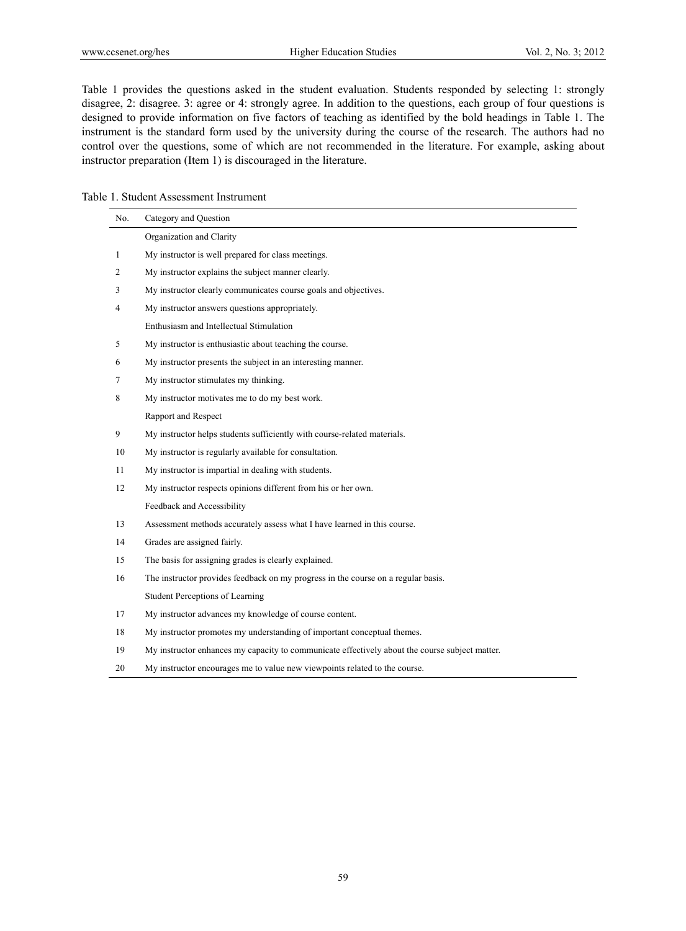Table 1 provides the questions asked in the student evaluation. Students responded by selecting 1: strongly disagree, 2: disagree. 3: agree or 4: strongly agree. In addition to the questions, each group of four questions is designed to provide information on five factors of teaching as identified by the bold headings in Table 1. The instrument is the standard form used by the university during the course of the research. The authors had no control over the questions, some of which are not recommended in the literature. For example, asking about instructor preparation (Item 1) is discouraged in the literature.

|  |  | Table 1. Student Assessment Instrument |  |
|--|--|----------------------------------------|--|
|--|--|----------------------------------------|--|

| No. | Category and Question                                                                          |
|-----|------------------------------------------------------------------------------------------------|
|     | Organization and Clarity                                                                       |
| 1   | My instructor is well prepared for class meetings.                                             |
| 2   | My instructor explains the subject manner clearly.                                             |
| 3   | My instructor clearly communicates course goals and objectives.                                |
| 4   | My instructor answers questions appropriately.                                                 |
|     | Enthusiasm and Intellectual Stimulation                                                        |
| 5   | My instructor is enthusiastic about teaching the course.                                       |
| 6   | My instructor presents the subject in an interesting manner.                                   |
| 7   | My instructor stimulates my thinking.                                                          |
| 8   | My instructor motivates me to do my best work.                                                 |
|     | Rapport and Respect                                                                            |
| 9   | My instructor helps students sufficiently with course-related materials.                       |
| 10  | My instructor is regularly available for consultation.                                         |
| 11  | My instructor is impartial in dealing with students.                                           |
| 12  | My instructor respects opinions different from his or her own.                                 |
|     | Feedback and Accessibility                                                                     |
| 13  | Assessment methods accurately assess what I have learned in this course.                       |
| 14  | Grades are assigned fairly.                                                                    |
| 15  | The basis for assigning grades is clearly explained.                                           |
| 16  | The instructor provides feedback on my progress in the course on a regular basis.              |
|     | Student Perceptions of Learning                                                                |
| 17  | My instructor advances my knowledge of course content.                                         |
| 18  | My instructor promotes my understanding of important conceptual themes.                        |
| 19  | My instructor enhances my capacity to communicate effectively about the course subject matter. |
| 20  | My instructor encourages me to value new viewpoints related to the course.                     |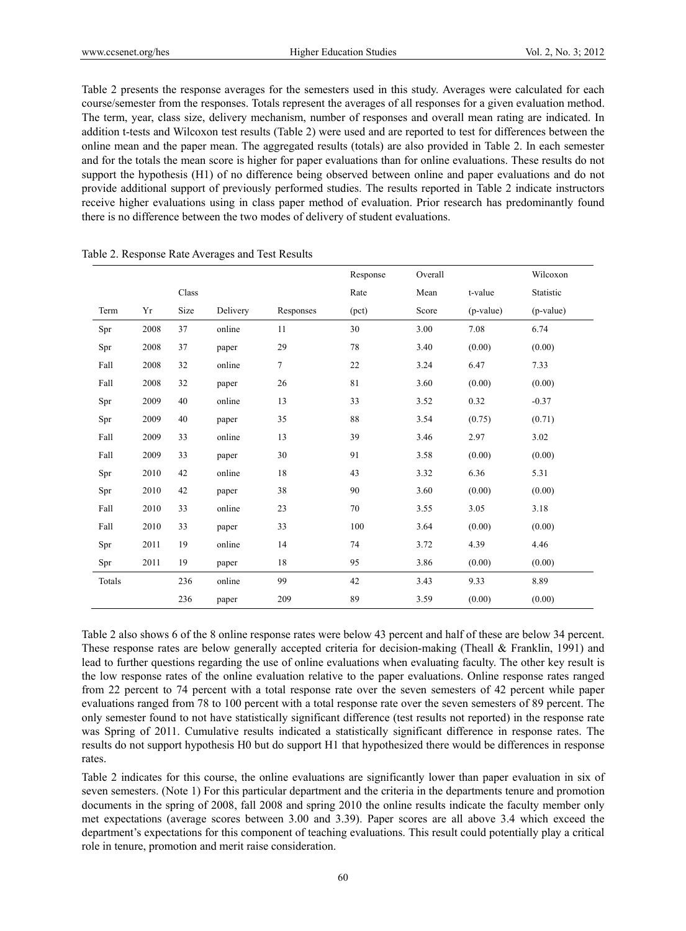Table 2 presents the response averages for the semesters used in this study. Averages were calculated for each course/semester from the responses. Totals represent the averages of all responses for a given evaluation method. The term, year, class size, delivery mechanism, number of responses and overall mean rating are indicated. In addition t-tests and Wilcoxon test results (Table 2) were used and are reported to test for differences between the online mean and the paper mean. The aggregated results (totals) are also provided in Table 2. In each semester and for the totals the mean score is higher for paper evaluations than for online evaluations. These results do not support the hypothesis (H1) of no difference being observed between online and paper evaluations and do not provide additional support of previously performed studies. The results reported in Table 2 indicate instructors receive higher evaluations using in class paper method of evaluation. Prior research has predominantly found there is no difference between the two modes of delivery of student evaluations.

|        |      |       |          |           | Response | Overall |             | Wilcoxon  |
|--------|------|-------|----------|-----------|----------|---------|-------------|-----------|
|        |      | Class |          |           | Rate     | Mean    | t-value     | Statistic |
| Term   | Yr   | Size  | Delivery | Responses | (pct)    | Score   | $(p-value)$ | (p-value) |
| Spr    | 2008 | 37    | online   | 11        | 30       | 3.00    | 7.08        | 6.74      |
| Spr    | 2008 | 37    | paper    | 29        | 78       | 3.40    | (0.00)      | (0.00)    |
| Fall   | 2008 | 32    | online   | $\tau$    | 22       | 3.24    | 6.47        | 7.33      |
| Fall   | 2008 | 32    | paper    | 26        | 81       | 3.60    | (0.00)      | (0.00)    |
| Spr    | 2009 | 40    | online   | 13        | 33       | 3.52    | 0.32        | $-0.37$   |
| Spr    | 2009 | 40    | paper    | 35        | 88       | 3.54    | (0.75)      | (0.71)    |
| Fall   | 2009 | 33    | online   | 13        | 39       | 3.46    | 2.97        | 3.02      |
| Fall   | 2009 | 33    | paper    | 30        | 91       | 3.58    | (0.00)      | (0.00)    |
| Spr    | 2010 | 42    | online   | 18        | 43       | 3.32    | 6.36        | 5.31      |
| Spr    | 2010 | 42    | paper    | 38        | 90       | 3.60    | (0.00)      | (0.00)    |
| Fall   | 2010 | 33    | online   | 23        | 70       | 3.55    | 3.05        | 3.18      |
| Fall   | 2010 | 33    | paper    | 33        | 100      | 3.64    | (0.00)      | (0.00)    |
| Spr    | 2011 | 19    | online   | 14        | 74       | 3.72    | 4.39        | 4.46      |
| Spr    | 2011 | 19    | paper    | 18        | 95       | 3.86    | (0.00)      | (0.00)    |
| Totals |      | 236   | online   | 99        | 42       | 3.43    | 9.33        | 8.89      |
|        |      | 236   | paper    | 209       | 89       | 3.59    | (0.00)      | (0.00)    |

Table 2. Response Rate Averages and Test Results

Table 2 also shows 6 of the 8 online response rates were below 43 percent and half of these are below 34 percent. These response rates are below generally accepted criteria for decision-making (Theall & Franklin, 1991) and lead to further questions regarding the use of online evaluations when evaluating faculty. The other key result is the low response rates of the online evaluation relative to the paper evaluations. Online response rates ranged from 22 percent to 74 percent with a total response rate over the seven semesters of 42 percent while paper evaluations ranged from 78 to 100 percent with a total response rate over the seven semesters of 89 percent. The only semester found to not have statistically significant difference (test results not reported) in the response rate was Spring of 2011. Cumulative results indicated a statistically significant difference in response rates. The results do not support hypothesis H0 but do support H1 that hypothesized there would be differences in response rates.

Table 2 indicates for this course, the online evaluations are significantly lower than paper evaluation in six of seven semesters. (Note 1) For this particular department and the criteria in the departments tenure and promotion documents in the spring of 2008, fall 2008 and spring 2010 the online results indicate the faculty member only met expectations (average scores between 3.00 and 3.39). Paper scores are all above 3.4 which exceed the department's expectations for this component of teaching evaluations. This result could potentially play a critical role in tenure, promotion and merit raise consideration.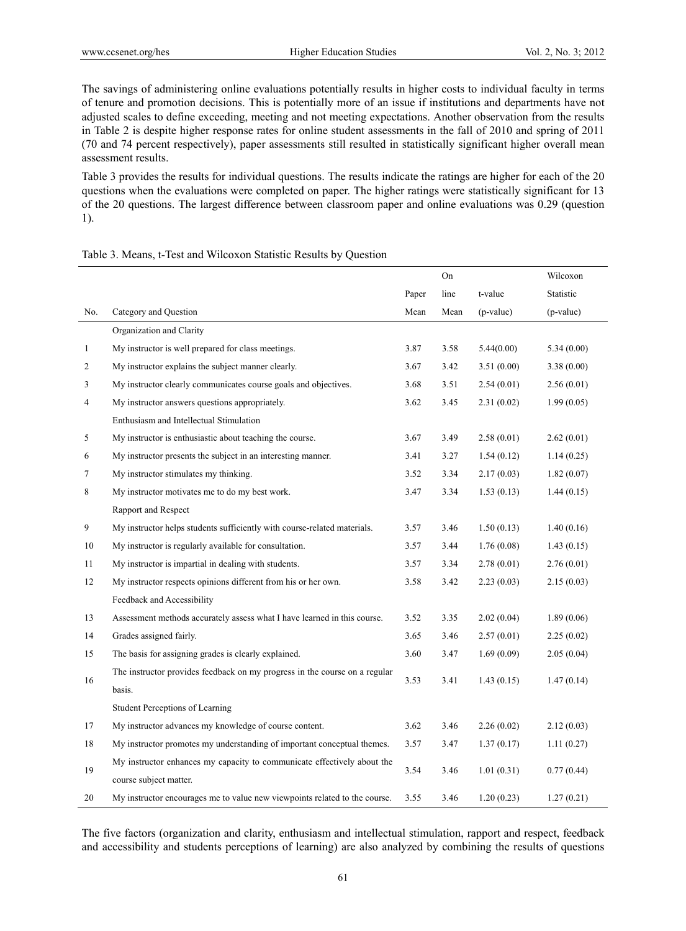The savings of administering online evaluations potentially results in higher costs to individual faculty in terms of tenure and promotion decisions. This is potentially more of an issue if institutions and departments have not adjusted scales to define exceeding, meeting and not meeting expectations. Another observation from the results in Table 2 is despite higher response rates for online student assessments in the fall of 2010 and spring of 2011 (70 and 74 percent respectively), paper assessments still resulted in statistically significant higher overall mean assessment results.

Table 3 provides the results for individual questions. The results indicate the ratings are higher for each of the 20 questions when the evaluations were completed on paper. The higher ratings were statistically significant for 13 of the 20 questions. The largest difference between classroom paper and online evaluations was 0.29 (question 1).

|              |                                                                            |       | On   |             | Wilcoxon   |
|--------------|----------------------------------------------------------------------------|-------|------|-------------|------------|
|              |                                                                            | Paper | line | t-value     | Statistic  |
| No.          | Category and Question                                                      | Mean  | Mean | $(p-value)$ | (p-value)  |
|              | Organization and Clarity                                                   |       |      |             |            |
| $\mathbf{1}$ | My instructor is well prepared for class meetings.                         | 3.87  | 3.58 | 5.44(0.00)  | 5.34(0.00) |
| 2            | My instructor explains the subject manner clearly.                         | 3.67  | 3.42 | 3.51(0.00)  | 3.38(0.00) |
| 3            | My instructor clearly communicates course goals and objectives.            | 3.68  | 3.51 | 2.54(0.01)  | 2.56(0.01) |
| 4            | My instructor answers questions appropriately.                             | 3.62  | 3.45 | 2.31(0.02)  | 1.99(0.05) |
|              | Enthusiasm and Intellectual Stimulation                                    |       |      |             |            |
| 5            | My instructor is enthusiastic about teaching the course.                   | 3.67  | 3.49 | 2.58(0.01)  | 2.62(0.01) |
| 6            | My instructor presents the subject in an interesting manner.               | 3.41  | 3.27 | 1.54(0.12)  | 1.14(0.25) |
| 7            | My instructor stimulates my thinking.                                      | 3.52  | 3.34 | 2.17(0.03)  | 1.82(0.07) |
| 8            | My instructor motivates me to do my best work.                             | 3.47  | 3.34 | 1.53(0.13)  | 1.44(0.15) |
|              | Rapport and Respect                                                        |       |      |             |            |
| 9            | My instructor helps students sufficiently with course-related materials.   | 3.57  | 3.46 | 1.50(0.13)  | 1.40(0.16) |
| 10           | My instructor is regularly available for consultation.                     | 3.57  | 3.44 | 1.76(0.08)  | 1.43(0.15) |
| 11           | My instructor is impartial in dealing with students.                       | 3.57  | 3.34 | 2.78(0.01)  | 2.76(0.01) |
| 12           | My instructor respects opinions different from his or her own.             | 3.58  | 3.42 | 2.23(0.03)  | 2.15(0.03) |
|              | Feedback and Accessibility                                                 |       |      |             |            |
| 13           | Assessment methods accurately assess what I have learned in this course.   | 3.52  | 3.35 | 2.02(0.04)  | 1.89(0.06) |
| 14           | Grades assigned fairly.                                                    | 3.65  | 3.46 | 2.57(0.01)  | 2.25(0.02) |
| 15           | The basis for assigning grades is clearly explained.                       | 3.60  | 3.47 | 1.69(0.09)  | 2.05(0.04) |
| 16           | The instructor provides feedback on my progress in the course on a regular | 3.53  | 3.41 |             |            |
|              | basis.                                                                     |       |      | 1.43(0.15)  | 1.47(0.14) |
|              | Student Perceptions of Learning                                            |       |      |             |            |
| 17           | My instructor advances my knowledge of course content.                     | 3.62  | 3.46 | 2.26(0.02)  | 2.12(0.03) |
| 18           | My instructor promotes my understanding of important conceptual themes.    | 3.57  | 3.47 | 1.37(0.17)  | 1.11(0.27) |
|              | My instructor enhances my capacity to communicate effectively about the    |       |      |             |            |
| 19           | course subject matter.                                                     | 3.54  | 3.46 | 1.01(0.31)  | 0.77(0.44) |
| 20           | My instructor encourages me to value new viewpoints related to the course. | 3.55  | 3.46 | 1.20(0.23)  | 1.27(0.21) |

### Table 3. Means, t-Test and Wilcoxon Statistic Results by Question

The five factors (organization and clarity, enthusiasm and intellectual stimulation, rapport and respect, feedback and accessibility and students perceptions of learning) are also analyzed by combining the results of questions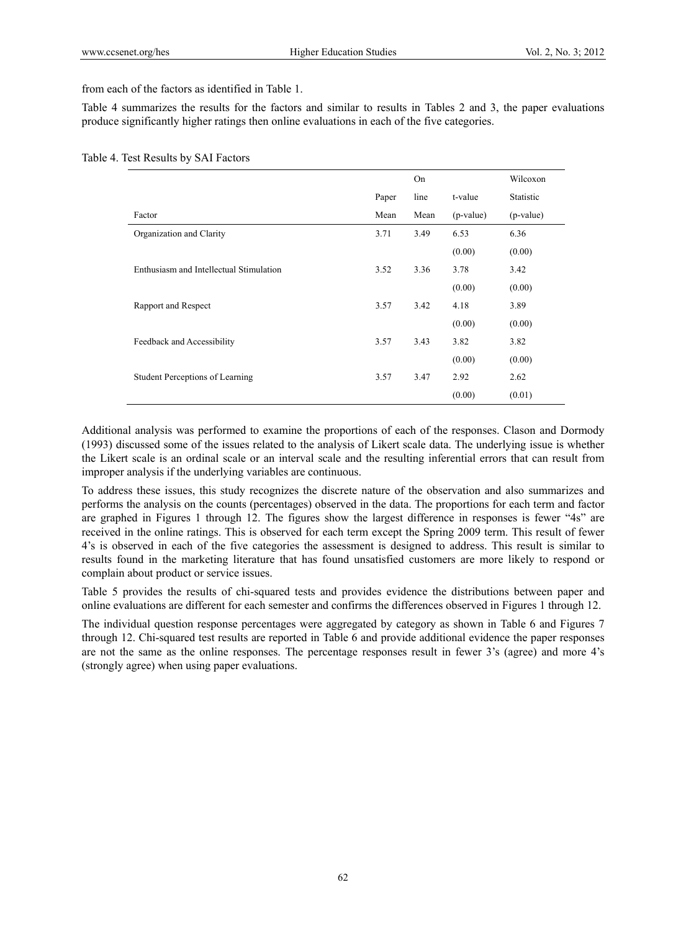from each of the factors as identified in Table 1.

Table 4 summarizes the results for the factors and similar to results in Tables 2 and 3, the paper evaluations produce significantly higher ratings then online evaluations in each of the five categories.

|                                         |       | On   |           | Wilcoxon  |
|-----------------------------------------|-------|------|-----------|-----------|
|                                         | Paper | line | t-value   | Statistic |
| Factor                                  | Mean  | Mean | (p-value) | (p-value) |
| Organization and Clarity                | 3.71  | 3.49 | 6.53      | 6.36      |
|                                         |       |      | (0.00)    | (0.00)    |
| Enthusiasm and Intellectual Stimulation | 3.52  | 3.36 | 3.78      | 3.42      |
|                                         |       |      | (0.00)    | (0.00)    |
| Rapport and Respect                     | 3.57  | 3.42 | 4.18      | 3.89      |
|                                         |       |      | (0.00)    | (0.00)    |
| Feedback and Accessibility              | 3.57  | 3.43 | 3.82      | 3.82      |
|                                         |       |      | (0.00)    | (0.00)    |
| Student Perceptions of Learning         | 3.57  | 3.47 | 2.92      | 2.62      |
|                                         |       |      | (0.00)    | (0.01)    |

|  | Table 4. Test Results by SAI Factors |  |  |  |
|--|--------------------------------------|--|--|--|
|--|--------------------------------------|--|--|--|

Additional analysis was performed to examine the proportions of each of the responses. Clason and Dormody (1993) discussed some of the issues related to the analysis of Likert scale data. The underlying issue is whether the Likert scale is an ordinal scale or an interval scale and the resulting inferential errors that can result from improper analysis if the underlying variables are continuous.

To address these issues, this study recognizes the discrete nature of the observation and also summarizes and performs the analysis on the counts (percentages) observed in the data. The proportions for each term and factor are graphed in Figures 1 through 12. The figures show the largest difference in responses is fewer "4s" are received in the online ratings. This is observed for each term except the Spring 2009 term. This result of fewer 4's is observed in each of the five categories the assessment is designed to address. This result is similar to results found in the marketing literature that has found unsatisfied customers are more likely to respond or complain about product or service issues.

Table 5 provides the results of chi-squared tests and provides evidence the distributions between paper and online evaluations are different for each semester and confirms the differences observed in Figures 1 through 12.

The individual question response percentages were aggregated by category as shown in Table 6 and Figures 7 through 12. Chi-squared test results are reported in Table 6 and provide additional evidence the paper responses are not the same as the online responses. The percentage responses result in fewer 3's (agree) and more 4's (strongly agree) when using paper evaluations.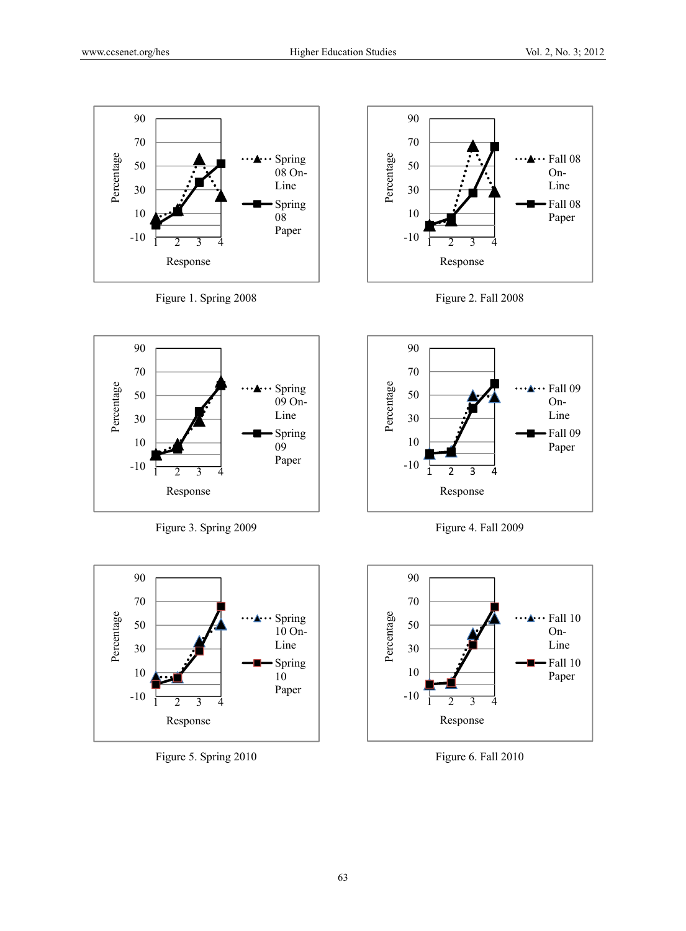









Figure 3. Spring 2009



Figure 5. Spring 2010



Figure 4. Fall 2009



Figure 6. Fall 2010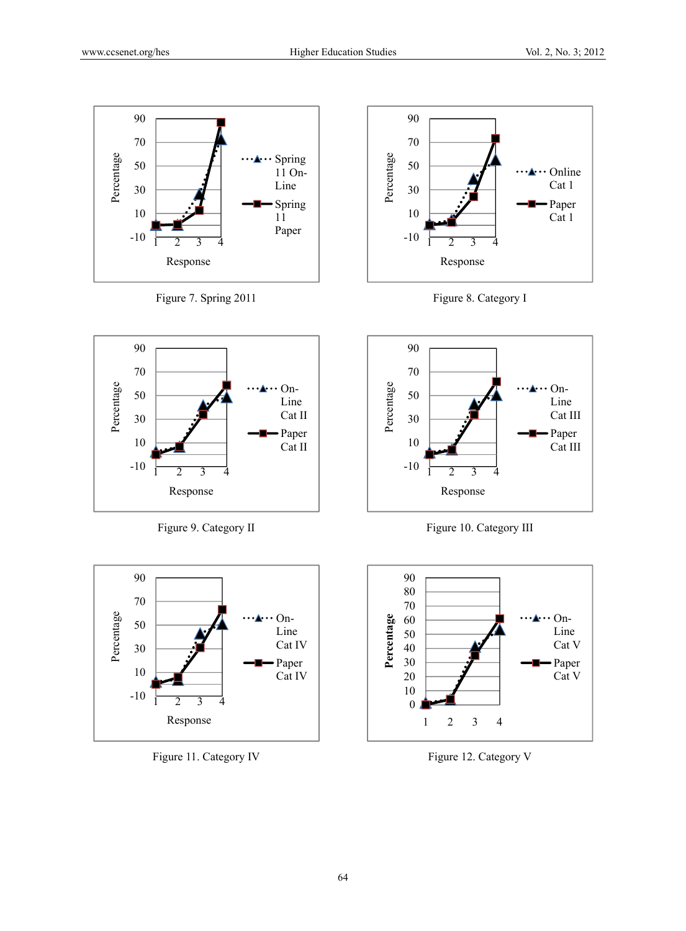









Figure 9. Category II



Figure 11. Category IV



Figure 10. Category III



Figure 12. Category V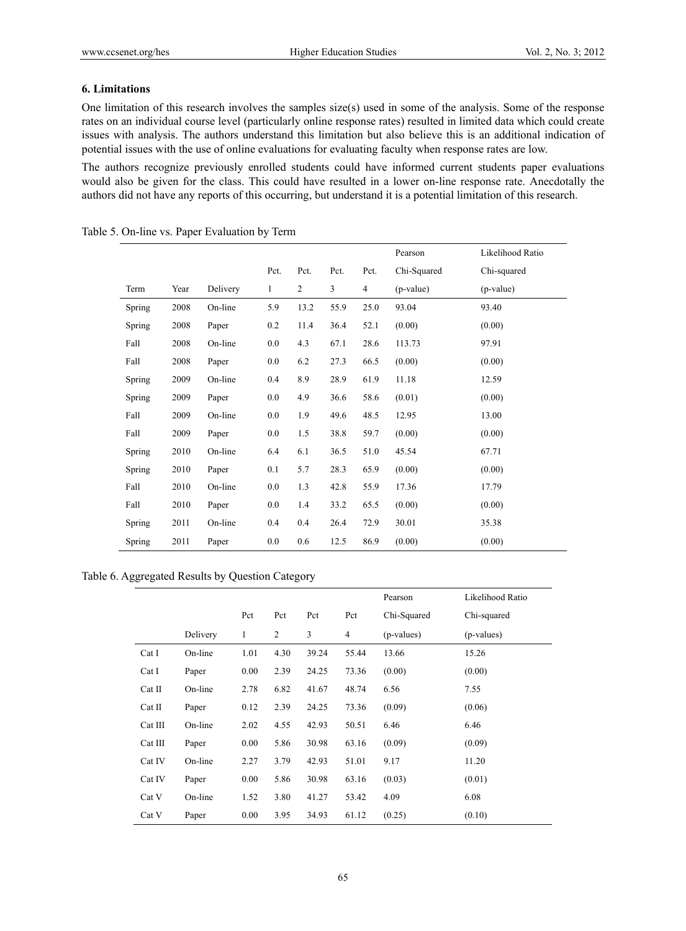## **6. Limitations**

One limitation of this research involves the samples size(s) used in some of the analysis. Some of the response rates on an individual course level (particularly online response rates) resulted in limited data which could create issues with analysis. The authors understand this limitation but also believe this is an additional indication of potential issues with the use of online evaluations for evaluating faculty when response rates are low.

The authors recognize previously enrolled students could have informed current students paper evaluations would also be given for the class. This could have resulted in a lower on-line response rate. Anecdotally the authors did not have any reports of this occurring, but understand it is a potential limitation of this research.

|        |      |          |         |                |      |                | Pearson     | Likelihood Ratio |
|--------|------|----------|---------|----------------|------|----------------|-------------|------------------|
|        |      |          | Pct.    | Pct.           | Pct. | Pct.           | Chi-Squared | Chi-squared      |
| Term   | Year | Delivery | 1       | $\overline{c}$ | 3    | $\overline{4}$ | (p-value)   | (p-value)        |
| Spring | 2008 | On-line  | 5.9     | 13.2           | 55.9 | 25.0           | 93.04       | 93.40            |
| Spring | 2008 | Paper    | 0.2     | 11.4           | 36.4 | 52.1           | (0.00)      | (0.00)           |
| Fall   | 2008 | On-line  | 0.0     | 4.3            | 67.1 | 28.6           | 113.73      | 97.91            |
| Fall   | 2008 | Paper    | $0.0\,$ | 6.2            | 27.3 | 66.5           | (0.00)      | (0.00)           |
| Spring | 2009 | On-line  | 0.4     | 8.9            | 28.9 | 61.9           | 11.18       | 12.59            |
| Spring | 2009 | Paper    | 0.0     | 4.9            | 36.6 | 58.6           | (0.01)      | (0.00)           |
| Fall   | 2009 | On-line  | 0.0     | 1.9            | 49.6 | 48.5           | 12.95       | 13.00            |
| Fall   | 2009 | Paper    | $0.0\,$ | 1.5            | 38.8 | 59.7           | (0.00)      | (0.00)           |
| Spring | 2010 | On-line  | 6.4     | 6.1            | 36.5 | 51.0           | 45.54       | 67.71            |
| Spring | 2010 | Paper    | 0.1     | 5.7            | 28.3 | 65.9           | (0.00)      | (0.00)           |
| Fall   | 2010 | On-line  | 0.0     | 1.3            | 42.8 | 55.9           | 17.36       | 17.79            |
| Fall   | 2010 | Paper    | 0.0     | 1.4            | 33.2 | 65.5           | (0.00)      | (0.00)           |
| Spring | 2011 | On-line  | 0.4     | 0.4            | 26.4 | 72.9           | 30.01       | 35.38            |
| Spring | 2011 | Paper    | 0.0     | 0.6            | 12.5 | 86.9           | (0.00)      | (0.00)           |

Table 5. On-line vs. Paper Evaluation by Term

## Table 6. Aggregated Results by Question Category

|         |          |      |                |       |                | Pearson     | Likelihood Ratio |
|---------|----------|------|----------------|-------|----------------|-------------|------------------|
|         |          | Pct  | Pct            | Pct   | Pct            | Chi-Squared | Chi-squared      |
|         | Delivery | 1    | $\overline{c}$ | 3     | $\overline{4}$ | (p-values)  | (p-values)       |
| Cat I   | On-line  | 1.01 | 4.30           | 39.24 | 55.44          | 13.66       | 15.26            |
| Cat I   | Paper    | 0.00 | 2.39           | 24.25 | 73.36          | (0.00)      | (0.00)           |
| Cat II  | On-line  | 2.78 | 6.82           | 41.67 | 48.74          | 6.56        | 7.55             |
| Cat II  | Paper    | 0.12 | 2.39           | 24.25 | 73.36          | (0.09)      | (0.06)           |
| Cat III | On-line  | 2.02 | 4.55           | 42.93 | 50.51          | 6.46        | 6.46             |
| Cat III | Paper    | 0.00 | 5.86           | 30.98 | 63.16          | (0.09)      | (0.09)           |
| Cat IV  | On-line  | 2.27 | 3.79           | 42.93 | 51.01          | 9.17        | 11.20            |
| Cat IV  | Paper    | 0.00 | 5.86           | 30.98 | 63.16          | (0.03)      | (0.01)           |
| Cat V   | On-line  | 1.52 | 3.80           | 41.27 | 53.42          | 4.09        | 6.08             |
| Cat V   | Paper    | 0.00 | 3.95           | 34.93 | 61.12          | (0.25)      | (0.10)           |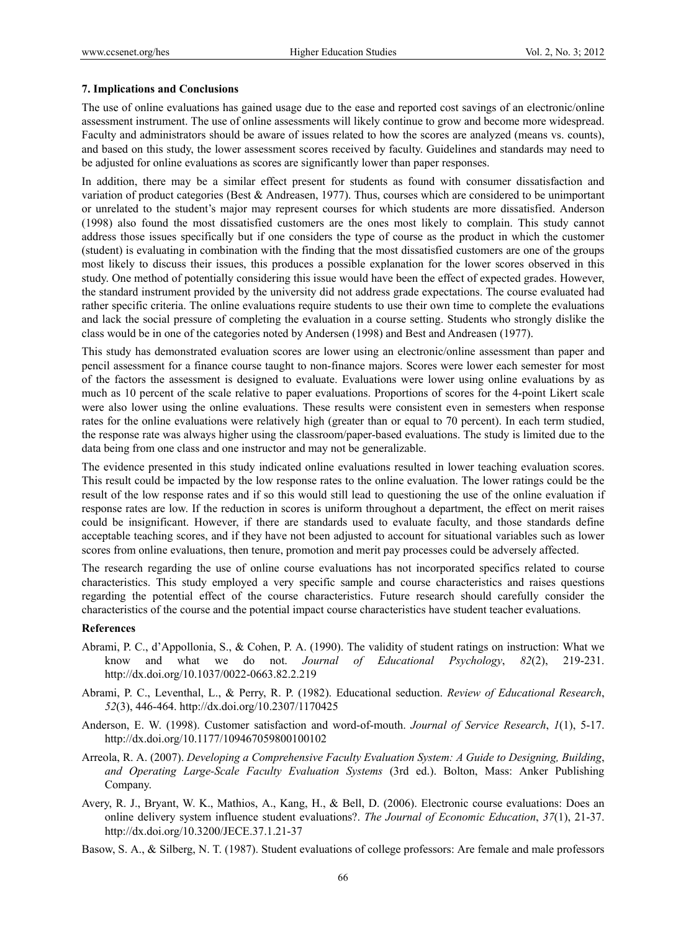#### **7. Implications and Conclusions**

The use of online evaluations has gained usage due to the ease and reported cost savings of an electronic/online assessment instrument. The use of online assessments will likely continue to grow and become more widespread. Faculty and administrators should be aware of issues related to how the scores are analyzed (means vs. counts), and based on this study, the lower assessment scores received by faculty. Guidelines and standards may need to be adjusted for online evaluations as scores are significantly lower than paper responses.

In addition, there may be a similar effect present for students as found with consumer dissatisfaction and variation of product categories (Best & Andreasen, 1977). Thus, courses which are considered to be unimportant or unrelated to the student's major may represent courses for which students are more dissatisfied. Anderson (1998) also found the most dissatisfied customers are the ones most likely to complain. This study cannot address those issues specifically but if one considers the type of course as the product in which the customer (student) is evaluating in combination with the finding that the most dissatisfied customers are one of the groups most likely to discuss their issues, this produces a possible explanation for the lower scores observed in this study. One method of potentially considering this issue would have been the effect of expected grades. However, the standard instrument provided by the university did not address grade expectations. The course evaluated had rather specific criteria. The online evaluations require students to use their own time to complete the evaluations and lack the social pressure of completing the evaluation in a course setting. Students who strongly dislike the class would be in one of the categories noted by Andersen (1998) and Best and Andreasen (1977).

This study has demonstrated evaluation scores are lower using an electronic/online assessment than paper and pencil assessment for a finance course taught to non-finance majors. Scores were lower each semester for most of the factors the assessment is designed to evaluate. Evaluations were lower using online evaluations by as much as 10 percent of the scale relative to paper evaluations. Proportions of scores for the 4-point Likert scale were also lower using the online evaluations. These results were consistent even in semesters when response rates for the online evaluations were relatively high (greater than or equal to 70 percent). In each term studied, the response rate was always higher using the classroom/paper-based evaluations. The study is limited due to the data being from one class and one instructor and may not be generalizable.

The evidence presented in this study indicated online evaluations resulted in lower teaching evaluation scores. This result could be impacted by the low response rates to the online evaluation. The lower ratings could be the result of the low response rates and if so this would still lead to questioning the use of the online evaluation if response rates are low. If the reduction in scores is uniform throughout a department, the effect on merit raises could be insignificant. However, if there are standards used to evaluate faculty, and those standards define acceptable teaching scores, and if they have not been adjusted to account for situational variables such as lower scores from online evaluations, then tenure, promotion and merit pay processes could be adversely affected.

The research regarding the use of online course evaluations has not incorporated specifics related to course characteristics. This study employed a very specific sample and course characteristics and raises questions regarding the potential effect of the course characteristics. Future research should carefully consider the characteristics of the course and the potential impact course characteristics have student teacher evaluations.

#### **References**

- Abrami, P. C., d'Appollonia, S., & Cohen, P. A. (1990). The validity of student ratings on instruction: What we know and what we do not. *Journal of Educational Psychology*, *82*(2), 219-231. http://dx.doi.org/10.1037/0022-0663.82.2.219
- Abrami, P. C., Leventhal, L., & Perry, R. P. (1982). Educational seduction. *Review of Educational Research*, *52*(3), 446-464. http://dx.doi.org/10.2307/1170425
- Anderson, E. W. (1998). Customer satisfaction and word-of-mouth. *Journal of Service Research*, *1*(1), 5-17. http://dx.doi.org/10.1177/109467059800100102
- Arreola, R. A. (2007). *Developing a Comprehensive Faculty Evaluation System: A Guide to Designing, Building*, *and Operating Large-Scale Faculty Evaluation Systems* (3rd ed.). Bolton, Mass: Anker Publishing Company.
- Avery, R. J., Bryant, W. K., Mathios, A., Kang, H., & Bell, D. (2006). Electronic course evaluations: Does an online delivery system influence student evaluations?. *The Journal of Economic Education*, *37*(1), 21-37. http://dx.doi.org/10.3200/JECE.37.1.21-37
- Basow, S. A., & Silberg, N. T. (1987). Student evaluations of college professors: Are female and male professors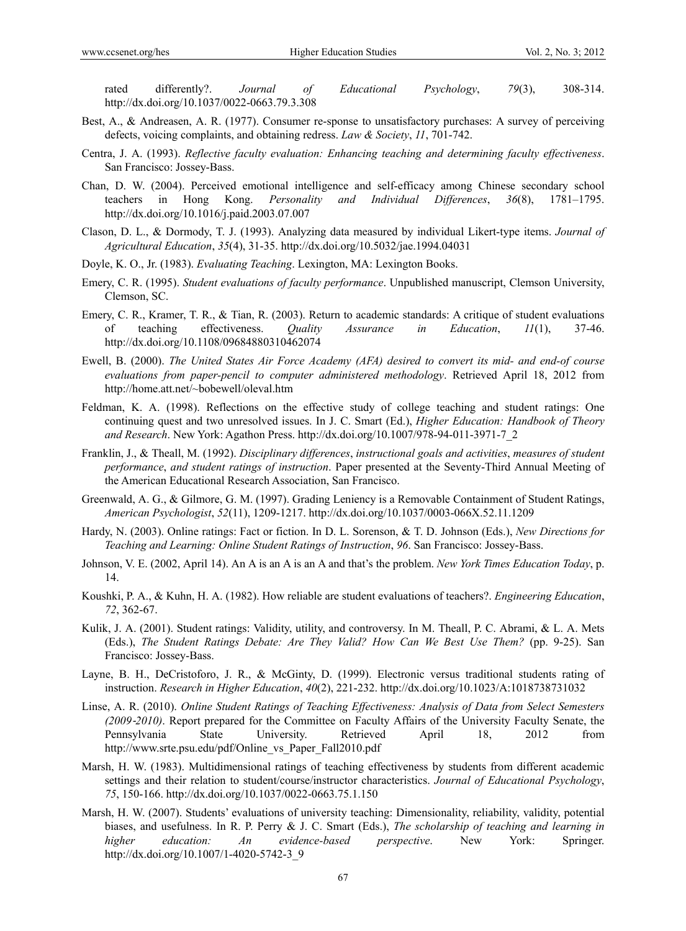rated differently?. *Journal of Educational Psychology*, *79*(3), 308-314. http://dx.doi.org/10.1037/0022-0663.79.3.308

- Best, A., & Andreasen, A. R. (1977). Consumer re-sponse to unsatisfactory purchases: A survey of perceiving defects, voicing complaints, and obtaining redress. *Law & Society*, *11*, 701-742.
- Centra, J. A. (1993). *Reflective faculty evaluation: Enhancing teaching and determining faculty effectiveness*. San Francisco: Jossey-Bass.
- Chan, D. W. (2004). Perceived emotional intelligence and self-efficacy among Chinese secondary school teachers in Hong Kong. *Personality and Individual Differences*, *36*(8), 1781–1795. http://dx.doi.org/10.1016/j.paid.2003.07.007
- Clason, D. L., & Dormody, T. J. (1993). Analyzing data measured by individual Likert-type items. *Journal of Agricultural Education*, *35*(4), 31-35. http://dx.doi.org/10.5032/jae.1994.04031
- Doyle, K. O., Jr. (1983). *Evaluating Teaching*. Lexington, MA: Lexington Books.
- Emery, C. R. (1995). *Student evaluations of faculty performance*. Unpublished manuscript, Clemson University, Clemson, SC.
- Emery, C. R., Kramer, T. R., & Tian, R. (2003). Return to academic standards: A critique of student evaluations of teaching effectiveness. *Quality Assurance in Education*, *11*(1), 37-46. http://dx.doi.org/10.1108/09684880310462074
- Ewell, B. (2000). *The United States Air Force Academy (AFA) desired to convert its mid- and end-of course evaluations from paper-pencil to computer administered methodology*. Retrieved April 18, 2012 from http://home.att.net/~bobewell/oleval.htm
- Feldman, K. A. (1998). Reflections on the effective study of college teaching and student ratings: One continuing quest and two unresolved issues. In J. C. Smart (Ed.), *Higher Education: Handbook of Theory and Research*. New York: Agathon Press. http://dx.doi.org/10.1007/978-94-011-3971-7\_2
- Franklin, J., & Theall, M. (1992). *Disciplinary differences*, *instructional goals and activities*, *measures of student performance*, *and student ratings of instruction*. Paper presented at the Seventy-Third Annual Meeting of the American Educational Research Association, San Francisco.
- Greenwald, A. G., & Gilmore, G. M. (1997). Grading Leniency is a Removable Containment of Student Ratings, *American Psychologist*, *52*(11), 1209-1217. http://dx.doi.org/10.1037/0003-066X.52.11.1209
- Hardy, N. (2003). Online ratings: Fact or fiction. In D. L. Sorenson, & T. D. Johnson (Eds.), *New Directions for Teaching and Learning: Online Student Ratings of Instruction*, *96*. San Francisco: Jossey-Bass.
- Johnson, V. E. (2002, April 14). An A is an A is an A and that's the problem. *New York Times Education Today*, p. 14.
- Koushki, P. A., & Kuhn, H. A. (1982). How reliable are student evaluations of teachers?. *Engineering Education*, *72*, 362-67.
- Kulik, J. A. (2001). Student ratings: Validity, utility, and controversy. In M. Theall, P. C. Abrami, & L. A. Mets (Eds.), *The Student Ratings Debate: Are They Valid? How Can We Best Use Them?* (pp. 9-25). San Francisco: Jossey-Bass.
- Layne, B. H., DeCristoforo, J. R., & McGinty, D. (1999). Electronic versus traditional students rating of instruction. *Research in Higher Education*, *40*(2), 221-232. http://dx.doi.org/10.1023/A:1018738731032
- Linse, A. R. (2010). *Online Student Ratings of Teaching Effectiveness: Analysis of Data from Select Semesters (2009*‐*2010)*. Report prepared for the Committee on Faculty Affairs of the University Faculty Senate, the Pennsylvania State University. Retrieved April 18, 2012 from http://www.srte.psu.edu/pdf/Online\_vs\_Paper\_Fall2010.pdf
- Marsh, H. W. (1983). Multidimensional ratings of teaching effectiveness by students from different academic settings and their relation to student/course/instructor characteristics. *Journal of Educational Psychology*, *75*, 150-166. http://dx.doi.org/10.1037/0022-0663.75.1.150
- Marsh, H. W. (2007). Students' evaluations of university teaching: Dimensionality, reliability, validity, potential biases, and usefulness. In R. P. Perry & J. C. Smart (Eds.), *The scholarship of teaching and learning in higher education: An evidence-based perspective*. New York: Springer. http://dx.doi.org/10.1007/1-4020-5742-3\_9